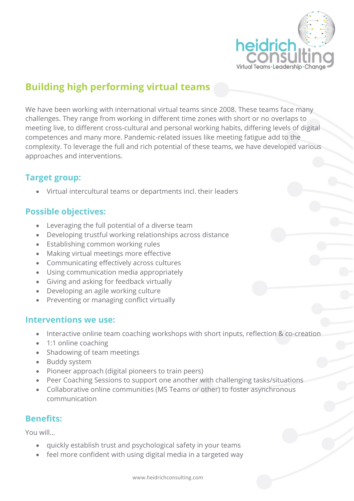

# **Building high performing virtual teams**

We have been working with international virtual teams since 2008. These teams face many challenges. They range from working in different time zones with short or no overlaps to meeting live, to different cross-cultural and personal working habits, differing levels of digital competences and many more. Pandemic-related issues like meeting fatigue add to the complexity. To leverage the full and rich potential of these teams, we have developed various approaches and interventions.

## **Target group:**

• Virtual intercultural teams or departments incl. their leaders

### **Possible objectives:**

- Leveraging the full potential of a diverse team
- Developing trustful working relationships across distance
- Establishing common working rules
- Making virtual meetings more effective
- Communicating effectively across cultures
- Using communication media appropriately
- Giving and asking for feedback virtually
- Developing an agile working culture
- Preventing or managing conflict virtually

#### **Interventions we use:**

- Interactive online team coaching workshops with short inputs, reflection & co-creation
- 1:1 online coaching
- Shadowing of team meetings
- Buddy system
- Pioneer approach (digital pioneers to train peers)
- Peer Coaching Sessions to support one another with challenging tasks/situations
- Collaborative online communities (MS Teams or other) to foster asynchronous communication

#### **Benefits:**

You will…

- quickly establish trust and psychological safety in your teams
- feel more confident with using digital media in a targeted way